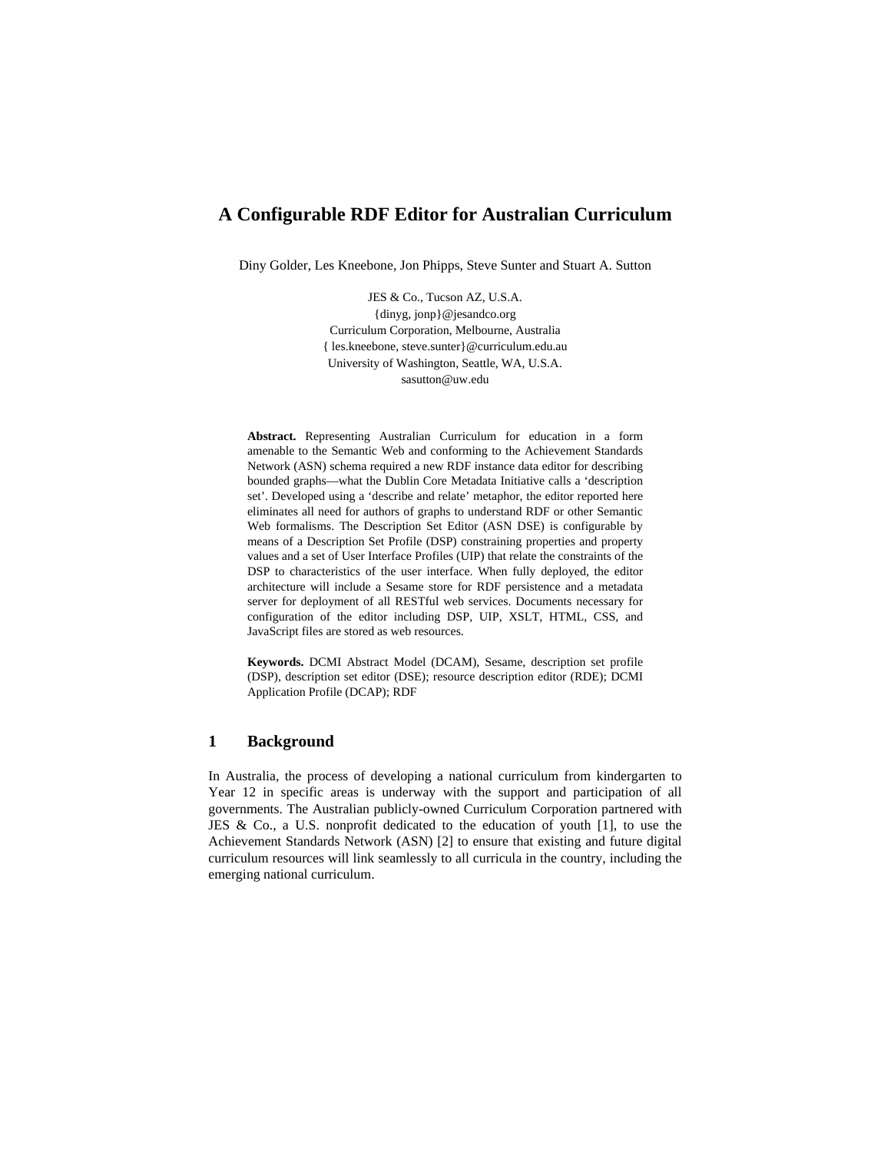# **A Configurable RDF Editor for Australian Curriculum**

Diny Golder, Les Kneebone, Jon Phipps, Steve Sunter and Stuart A. Sutton

JES & Co., Tucson AZ, U.S.A. {dinyg, jonp}@jesandco.org Curriculum Corporation, Melbourne, Australia { les.kneebone, steve.sunter}@curriculum.edu.au University of Washington, Seattle, WA, U.S.A. sasutton@uw.edu

**Abstract.** Representing Australian Curriculum for education in a form amenable to the Semantic Web and conforming to the Achievement Standards Network (ASN) schema required a new RDF instance data editor for describing bounded graphs—what the Dublin Core Metadata Initiative calls a 'description set'. Developed using a 'describe and relate' metaphor, the editor reported here eliminates all need for authors of graphs to understand RDF or other Semantic Web formalisms. The Description Set Editor (ASN DSE) is configurable by means of a Description Set Profile (DSP) constraining properties and property values and a set of User Interface Profiles (UIP) that relate the constraints of the DSP to characteristics of the user interface. When fully deployed, the editor architecture will include a Sesame store for RDF persistence and a metadata server for deployment of all RESTful web services. Documents necessary for configuration of the editor including DSP, UIP, XSLT, HTML, CSS, and JavaScript files are stored as web resources.

**Keywords.** DCMI Abstract Model (DCAM), Sesame, description set profile (DSP), description set editor (DSE); resource description editor (RDE); DCMI Application Profile (DCAP); RDF

#### **1 Background**

In Australia, the process of developing a national curriculum from kindergarten to Year 12 in specific areas is underway with the support and participation of all governments. The Australian publicly-owned Curriculum Corporation partnered with JES & Co., a U.S. nonprofit dedicated to the education of youth [1], to use the Achievement Standards Network (ASN) [2] to ensure that existing and future digital curriculum resources will link seamlessly to all curricula in the country, including the emerging national curriculum.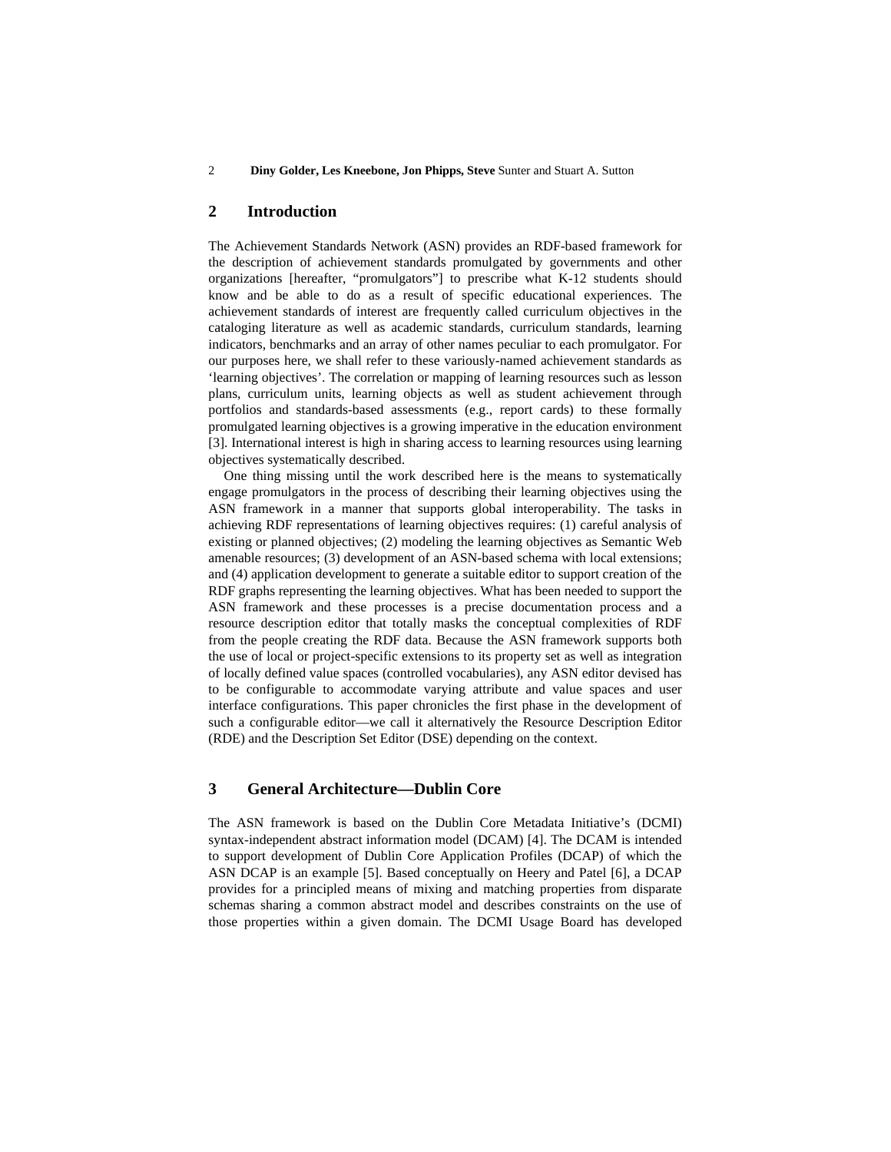### **2 Introduction**

The Achievement Standards Network (ASN) provides an RDF-based framework for the description of achievement standards promulgated by governments and other organizations [hereafter, "promulgators"] to prescribe what K-12 students should know and be able to do as a result of specific educational experiences. The achievement standards of interest are frequently called curriculum objectives in the cataloging literature as well as academic standards, curriculum standards, learning indicators, benchmarks and an array of other names peculiar to each promulgator. For our purposes here, we shall refer to these variously-named achievement standards as 'learning objectives'. The correlation or mapping of learning resources such as lesson plans, curriculum units, learning objects as well as student achievement through portfolios and standards-based assessments (e.g., report cards) to these formally promulgated learning objectives is a growing imperative in the education environment [3]. International interest is high in sharing access to learning resources using learning objectives systematically described.

One thing missing until the work described here is the means to systematically engage promulgators in the process of describing their learning objectives using the ASN framework in a manner that supports global interoperability. The tasks in achieving RDF representations of learning objectives requires: (1) careful analysis of existing or planned objectives; (2) modeling the learning objectives as Semantic Web amenable resources; (3) development of an ASN-based schema with local extensions; and (4) application development to generate a suitable editor to support creation of the RDF graphs representing the learning objectives. What has been needed to support the ASN framework and these processes is a precise documentation process and a resource description editor that totally masks the conceptual complexities of RDF from the people creating the RDF data. Because the ASN framework supports both the use of local or project-specific extensions to its property set as well as integration of locally defined value spaces (controlled vocabularies), any ASN editor devised has to be configurable to accommodate varying attribute and value spaces and user interface configurations. This paper chronicles the first phase in the development of such a configurable editor—we call it alternatively the Resource Description Editor (RDE) and the Description Set Editor (DSE) depending on the context.

### **3 General Architecture—Dublin Core**

The ASN framework is based on the Dublin Core Metadata Initiative's (DCMI) syntax-independent abstract information model (DCAM) [4]. The DCAM is intended to support development of Dublin Core Application Profiles (DCAP) of which the ASN DCAP is an example [5]. Based conceptually on Heery and Patel [6], a DCAP provides for a principled means of mixing and matching properties from disparate schemas sharing a common abstract model and describes constraints on the use of those properties within a given domain. The DCMI Usage Board has developed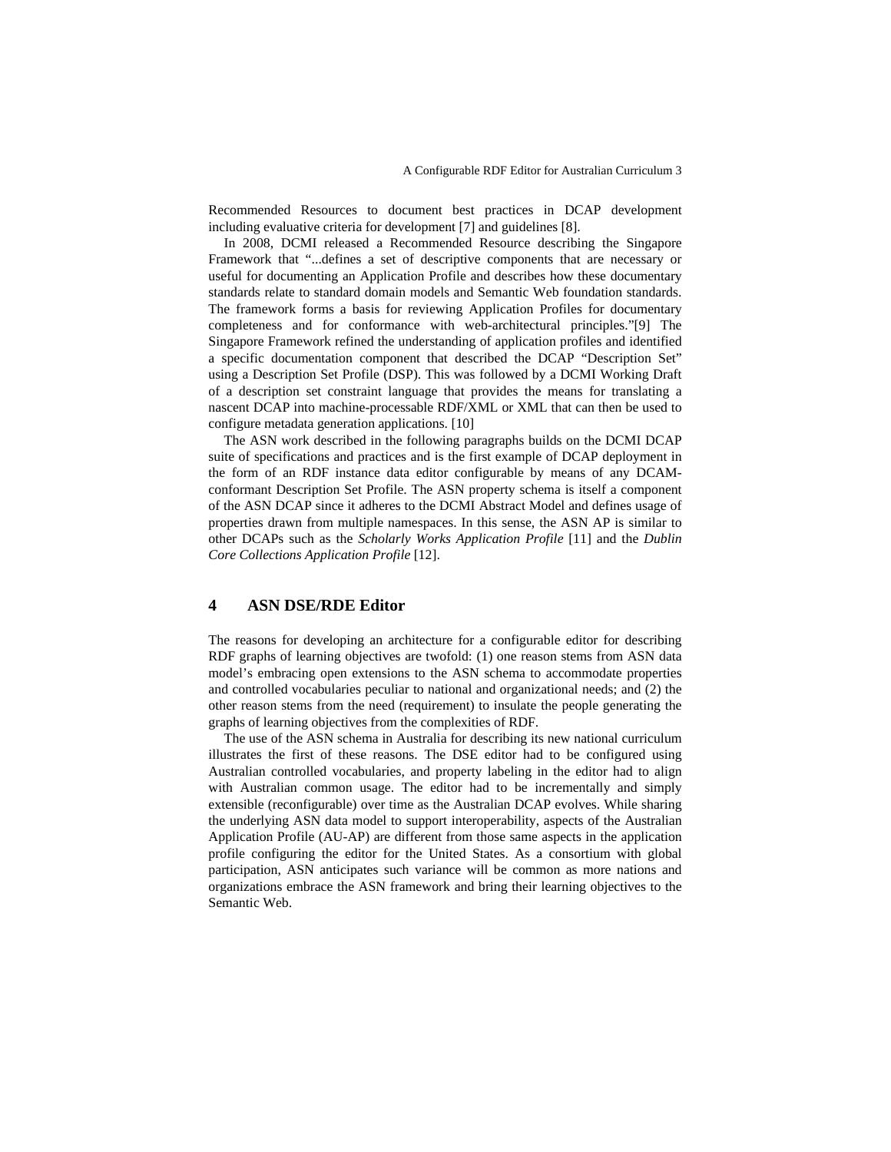Recommended Resources to document best practices in DCAP development including evaluative criteria for development [7] and guidelines [8].

In 2008, DCMI released a Recommended Resource describing the Singapore Framework that "...defines a set of descriptive components that are necessary or useful for documenting an Application Profile and describes how these documentary standards relate to standard domain models and Semantic Web foundation standards. The framework forms a basis for reviewing Application Profiles for documentary completeness and for conformance with web-architectural principles."[9] The Singapore Framework refined the understanding of application profiles and identified a specific documentation component that described the DCAP "Description Set" using a Description Set Profile (DSP). This was followed by a DCMI Working Draft of a description set constraint language that provides the means for translating a nascent DCAP into machine-processable RDF/XML or XML that can then be used to configure metadata generation applications. [10]

The ASN work described in the following paragraphs builds on the DCMI DCAP suite of specifications and practices and is the first example of DCAP deployment in the form of an RDF instance data editor configurable by means of any DCAMconformant Description Set Profile. The ASN property schema is itself a component of the ASN DCAP since it adheres to the DCMI Abstract Model and defines usage of properties drawn from multiple namespaces. In this sense, the ASN AP is similar to other DCAPs such as the *Scholarly Works Application Profile* [11] and the *Dublin Core Collections Application Profile* [12].

### **4 ASN DSE/RDE Editor**

The reasons for developing an architecture for a configurable editor for describing RDF graphs of learning objectives are twofold: (1) one reason stems from ASN data model's embracing open extensions to the ASN schema to accommodate properties and controlled vocabularies peculiar to national and organizational needs; and (2) the other reason stems from the need (requirement) to insulate the people generating the graphs of learning objectives from the complexities of RDF.

The use of the ASN schema in Australia for describing its new national curriculum illustrates the first of these reasons. The DSE editor had to be configured using Australian controlled vocabularies, and property labeling in the editor had to align with Australian common usage. The editor had to be incrementally and simply extensible (reconfigurable) over time as the Australian DCAP evolves. While sharing the underlying ASN data model to support interoperability, aspects of the Australian Application Profile (AU-AP) are different from those same aspects in the application profile configuring the editor for the United States. As a consortium with global participation, ASN anticipates such variance will be common as more nations and organizations embrace the ASN framework and bring their learning objectives to the Semantic Web.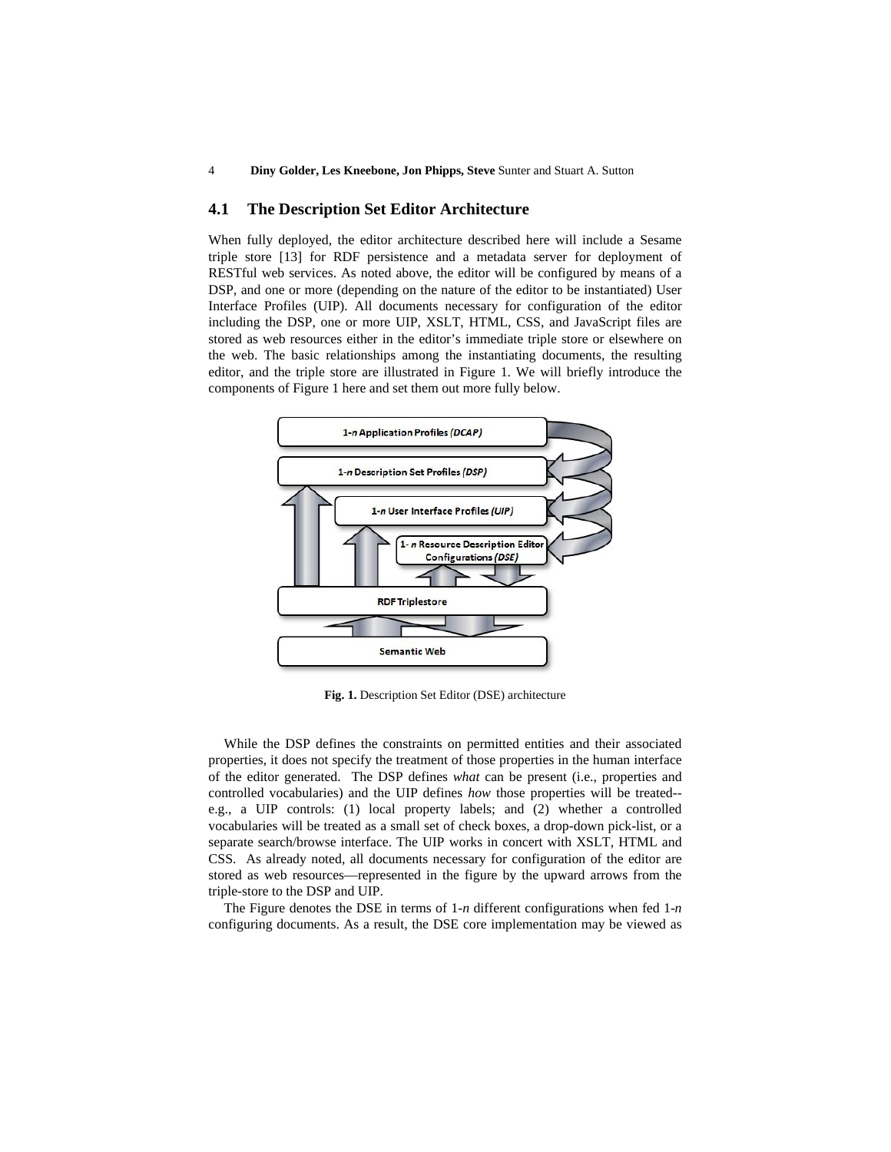#### **4.1 The Description Set Editor Architecture**

When fully deployed, the editor architecture described here will include a Sesame triple store [13] for RDF persistence and a metadata server for deployment of RESTful web services. As noted above, the editor will be configured by means of a DSP, and one or more (depending on the nature of the editor to be instantiated) User Interface Profiles (UIP). All documents necessary for configuration of the editor including the DSP, one or more UIP, XSLT, HTML, CSS, and JavaScript files are stored as web resources either in the editor's immediate triple store or elsewhere on the web. The basic relationships among the instantiating documents, the resulting editor, and the triple store are illustrated in Figure 1. We will briefly introduce the components of Figure 1 here and set them out more fully below.



**Fig. 1.** Description Set Editor (DSE) architecture

While the DSP defines the constraints on permitted entities and their associated properties, it does not specify the treatment of those properties in the human interface of the editor generated. The DSP defines *what* can be present (i.e., properties and controlled vocabularies) and the UIP defines *how* those properties will be treated- e.g., a UIP controls: (1) local property labels; and (2) whether a controlled vocabularies will be treated as a small set of check boxes, a drop-down pick-list, or a separate search/browse interface. The UIP works in concert with XSLT, HTML and CSS. As already noted, all documents necessary for configuration of the editor are stored as web resources—represented in the figure by the upward arrows from the triple-store to the DSP and UIP.

The Figure denotes the DSE in terms of 1-*n* different configurations when fed 1-*n* configuring documents. As a result, the DSE core implementation may be viewed as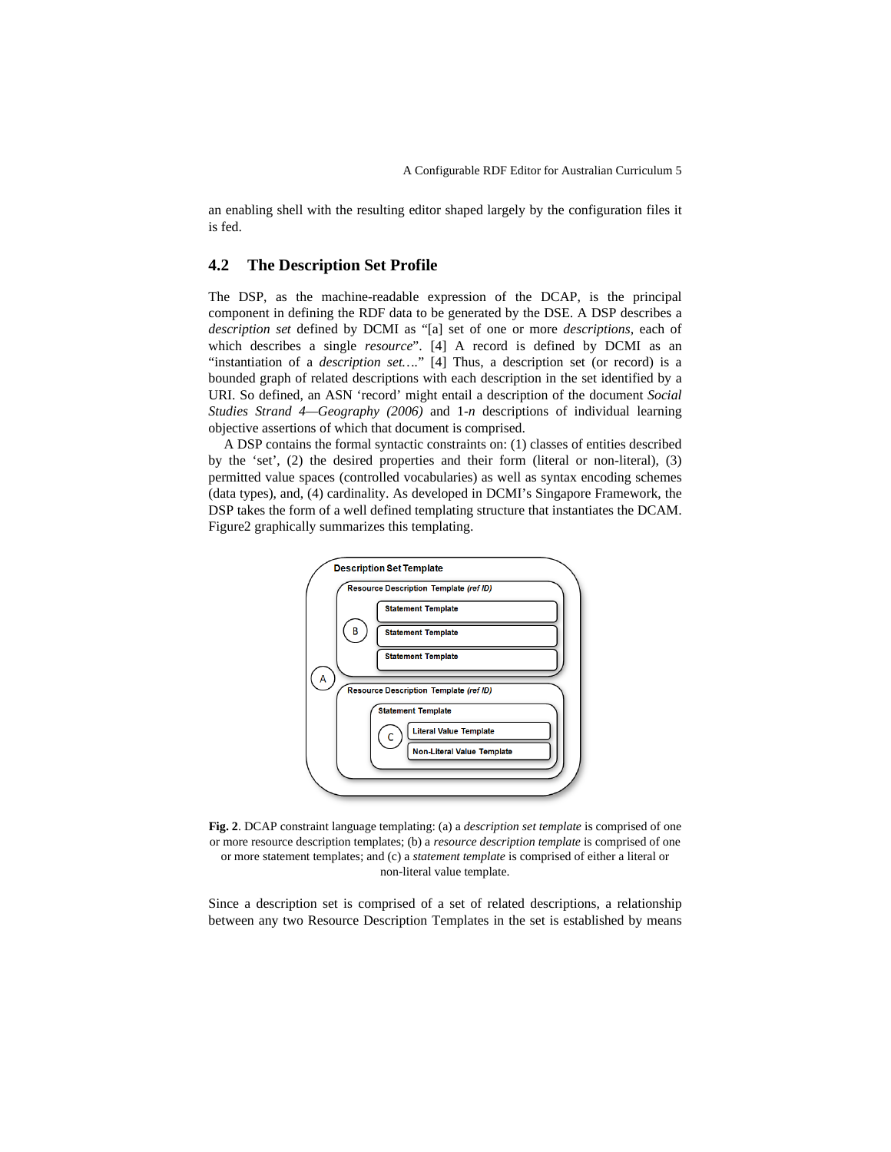an enabling shell with the resulting editor shaped largely by the configuration files it is fed.

#### **4.2 The Description Set Profile**

The DSP, as the machine-readable expression of the DCAP, is the principal component in defining the RDF data to be generated by the DSE. A DSP describes a *description set* defined by DCMI as "[a] set of one or more *descriptions*, each of which describes a single *resource*". [4] A record is defined by DCMI as an "instantiation of a *description set...*." [4] Thus, a description set (or record) is a bounded graph of related descriptions with each description in the set identified by a URI. So defined, an ASN 'record' might entail a description of the document *Social Studies Strand 4—Geography (2006)* and 1-*n* descriptions of individual learning objective assertions of which that document is comprised.

A DSP contains the formal syntactic constraints on: (1) classes of entities described by the 'set', (2) the desired properties and their form (literal or non-literal), (3) permitted value spaces (controlled vocabularies) as well as syntax encoding schemes (data types), and, (4) cardinality. As developed in DCMI's Singapore Framework, the DSP takes the form of a well defined templating structure that instantiates the DCAM. Figure2 graphically summarizes this templating.



**Fig. 2**. DCAP constraint language templating: (a) a *description set template* is comprised of one or more resource description templates; (b) a *resource description template* is comprised of one or more statement templates; and (c) a *statement template* is comprised of either a literal or non-literal value template.

Since a description set is comprised of a set of related descriptions, a relationship between any two Resource Description Templates in the set is established by means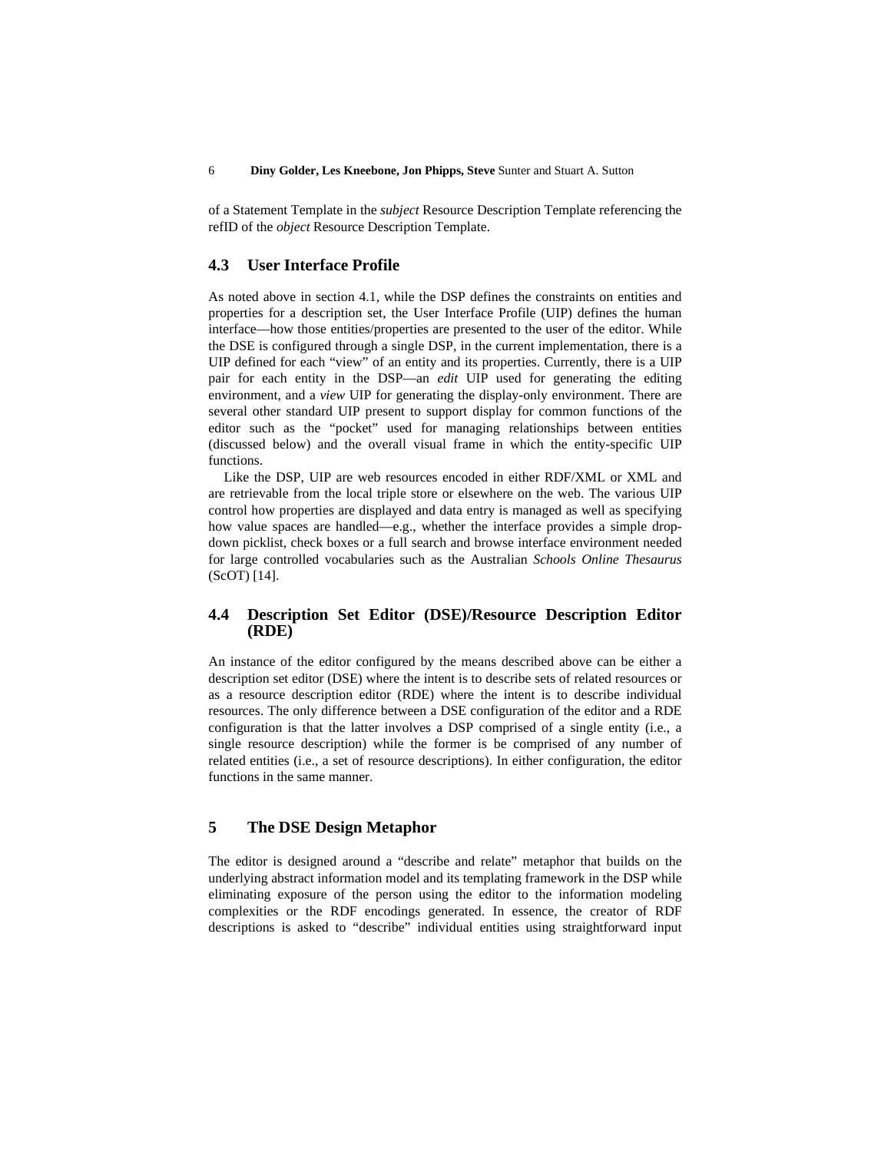of a Statement Template in the *subject* Resource Description Template referencing the refID of the *object* Resource Description Template.

#### **4.3 User Interface Profile**

As noted above in section 4.1, while the DSP defines the constraints on entities and properties for a description set, the User Interface Profile (UIP) defines the human interface—how those entities/properties are presented to the user of the editor. While the DSE is configured through a single DSP, in the current implementation, there is a UIP defined for each "view" of an entity and its properties. Currently, there is a UIP pair for each entity in the DSP—an *edit* UIP used for generating the editing environment, and a *view* UIP for generating the display-only environment. There are several other standard UIP present to support display for common functions of the editor such as the "pocket" used for managing relationships between entities (discussed below) and the overall visual frame in which the entity-specific UIP functions.

Like the DSP, UIP are web resources encoded in either RDF/XML or XML and are retrievable from the local triple store or elsewhere on the web. The various UIP control how properties are displayed and data entry is managed as well as specifying how value spaces are handled—e.g., whether the interface provides a simple dropdown picklist, check boxes or a full search and browse interface environment needed for large controlled vocabularies such as the Australian *Schools Online Thesaurus* (ScOT) [14].

### **4.4 Description Set Editor (DSE)/Resource Description Editor (RDE)**

An instance of the editor configured by the means described above can be either a description set editor (DSE) where the intent is to describe sets of related resources or as a resource description editor (RDE) where the intent is to describe individual resources. The only difference between a DSE configuration of the editor and a RDE configuration is that the latter involves a DSP comprised of a single entity (i.e., a single resource description) while the former is be comprised of any number of related entities (i.e., a set of resource descriptions). In either configuration, the editor functions in the same manner.

### **5 The DSE Design Metaphor**

The editor is designed around a "describe and relate" metaphor that builds on the underlying abstract information model and its templating framework in the DSP while eliminating exposure of the person using the editor to the information modeling complexities or the RDF encodings generated. In essence, the creator of RDF descriptions is asked to "describe" individual entities using straightforward input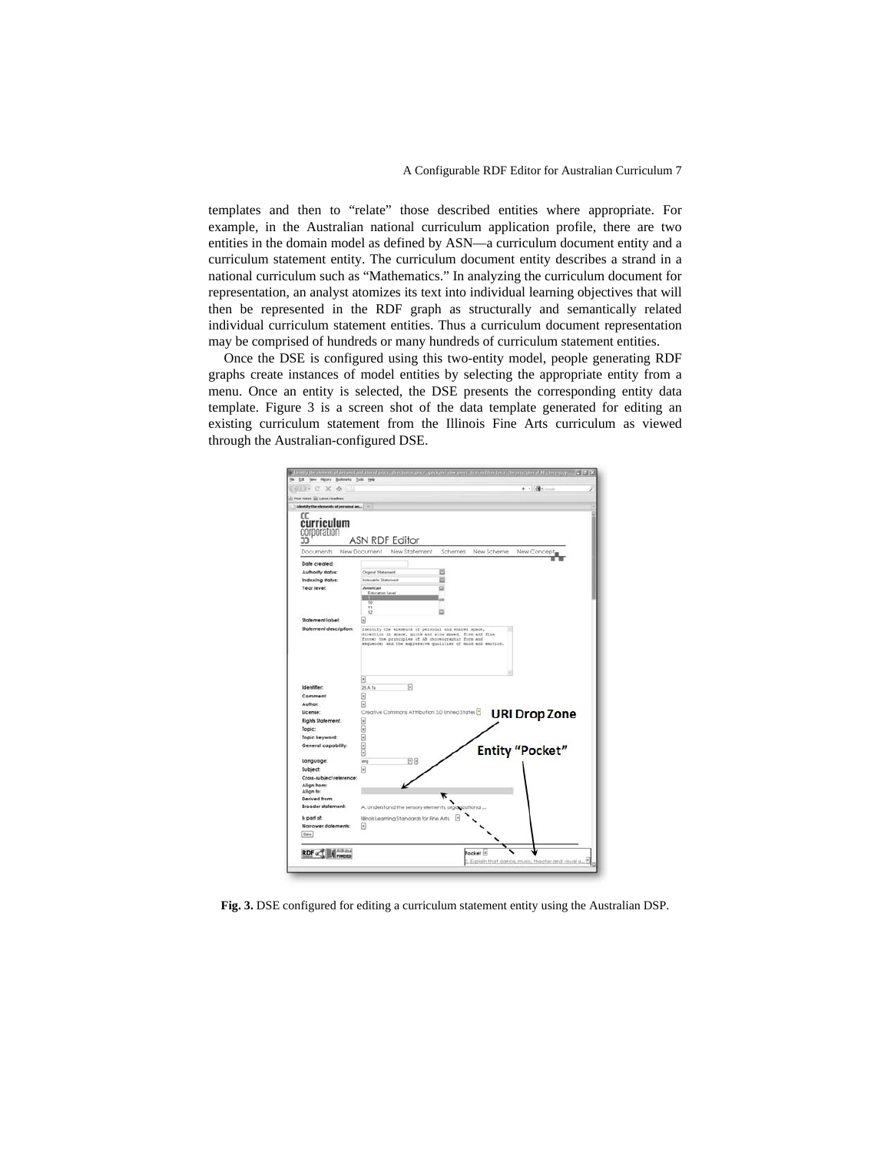templates and then to "relate" those described entities where appropriate. For example, in the Australian national curriculum application profile, there are two entities in the domain model as defined by ASN—a curriculum document entity and a curriculum statement entity. The curriculum document entity describes a strand in a national curriculum such as "Mathematics." In analyzing the curriculum document for representation, an analyst atomizes its text into individual learning objectives that will then be represented in the RDF graph as structurally and semantically related individual curriculum statement entities. Thus a curriculum document representation may be comprised of hundreds or many hundreds of curriculum statement entities.

Once the DSE is configured using this two-entity model, people generating RDF graphs create instances of model entities by selecting the appropriate entity from a menu. Once an entity is selected, the DSE presents the corresponding entity data template. Figure 3 is a screen shot of the data template generated for editing an existing curriculum statement from the Illinois Fine Arts curriculum as viewed through the Australian-configured DSE.



**Fig. 3.** DSE configured for editing a curriculum statement entity using the Australian DSP.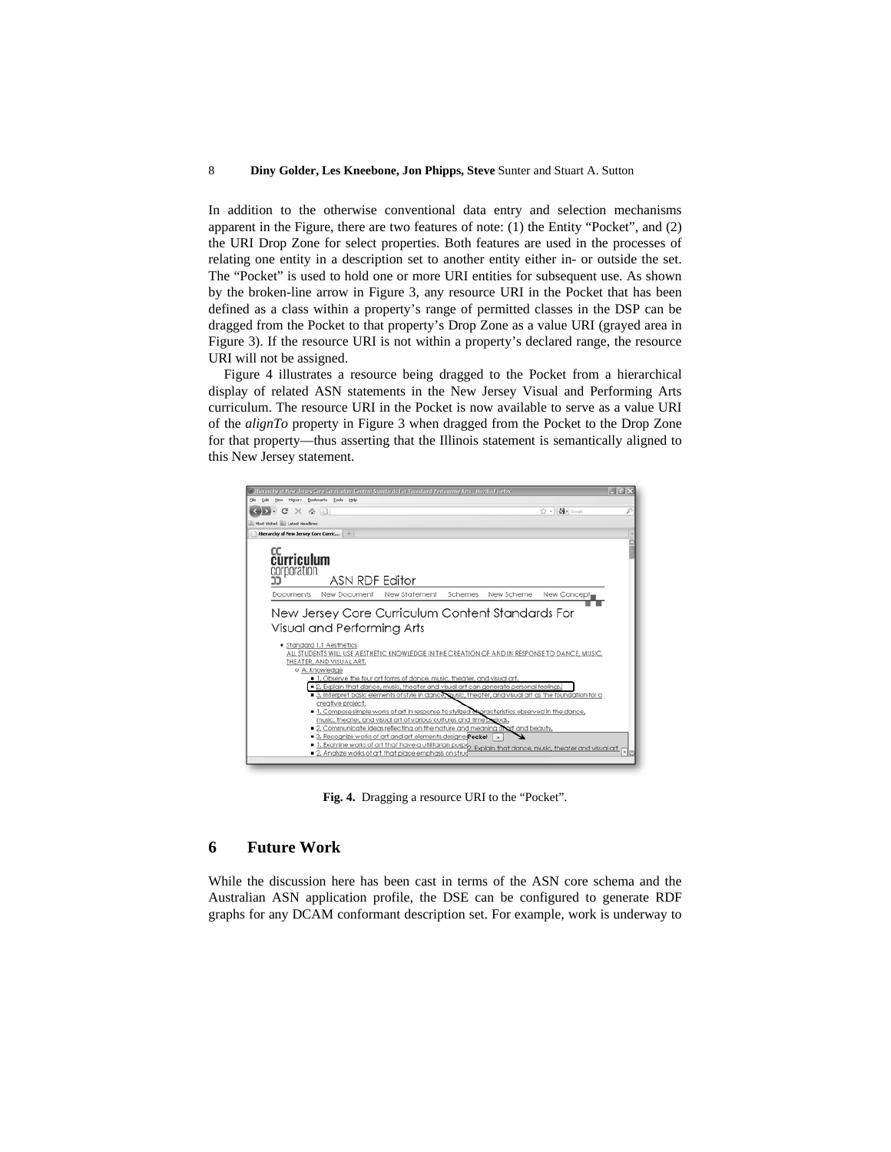#### 8 **Diny Golder, Les Kneebone, Jon Phipps, Steve** Sunter and Stuart A. Sutton

In addition to the otherwise conventional data entry and selection mechanisms apparent in the Figure, there are two features of note: (1) the Entity "Pocket", and (2) the URI Drop Zone for select properties. Both features are used in the processes of relating one entity in a description set to another entity either in- or outside the set. The "Pocket" is used to hold one or more URI entities for subsequent use. As shown by the broken-line arrow in Figure 3, any resource URI in the Pocket that has been defined as a class within a property's range of permitted classes in the DSP can be dragged from the Pocket to that property's Drop Zone as a value URI (grayed area in Figure 3). If the resource URI is not within a property's declared range, the resource URI will not be assigned.

Figure 4 illustrates a resource being dragged to the Pocket from a hierarchical display of related ASN statements in the New Jersey Visual and Performing Arts curriculum. The resource URI in the Pocket is now available to serve as a value URI of the *alignTo* property in Figure 3 when dragged from the Pocket to the Drop Zone for that property—thus asserting that the Illinois statement is semantically aligned to this New Jersey statement.



**Fig. 4.** Dragging a resource URI to the "Pocket".

#### **6 Future Work**

While the discussion here has been cast in terms of the ASN core schema and the Australian ASN application profile, the DSE can be configured to generate RDF graphs for any DCAM conformant description set. For example, work is underway to